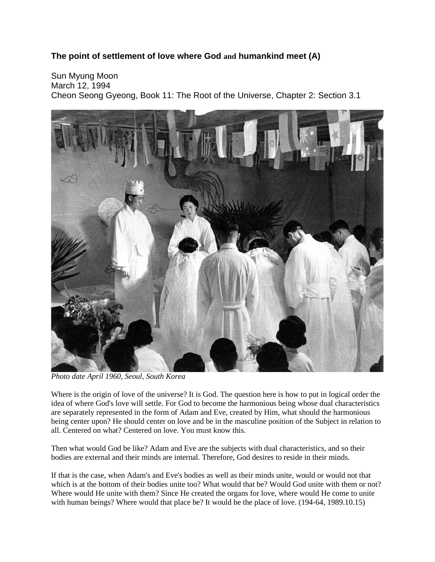## **The point of settlement of love where God and humankind meet (A)**

Sun Myung Moon March 12, 1994 Cheon Seong Gyeong, Book 11: The Root of the Universe, Chapter 2: Section 3.1



*Photo date April 1960, Seoul, South Korea*

Where is the origin of love of the universe? It is God. The question here is how to put in logical order the idea of where God's love will settle. For God to become the harmonious being whose dual characteristics are separately represented in the form of Adam and Eve, created by Him, what should the harmonious being center upon? He should center on love and be in the masculine position of the Subject in relation to all. Centered on what? Centered on love. You must know this.

Then what would God be like? Adam and Eve are the subjects with dual characteristics, and so their bodies are external and their minds are internal. Therefore, God desires to reside in their minds.

If that is the case, when Adam's and Eve's bodies as well as their minds unite, would or would not that which is at the bottom of their bodies unite too? What would that be? Would God unite with them or not? Where would He unite with them? Since He created the organs for love, where would He come to unite with human beings? Where would that place be? It would be the place of love. (194-64, 1989.10.15)